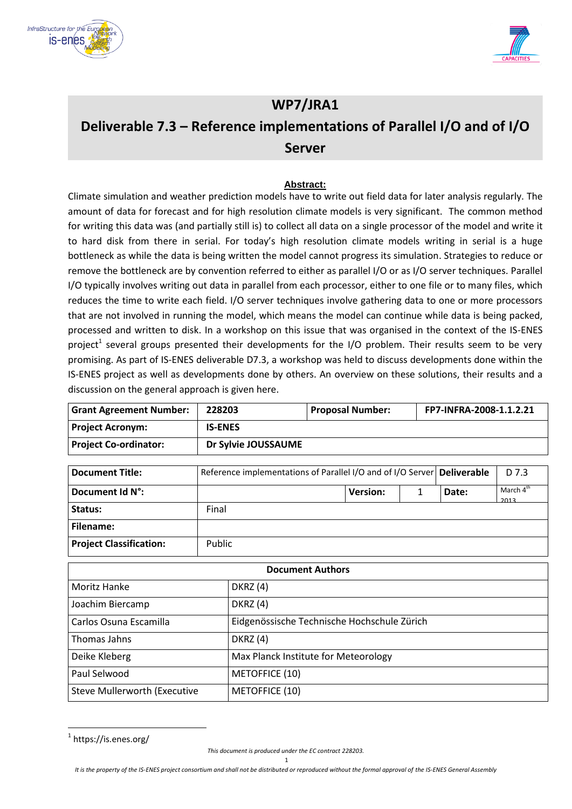



# **WP7/JRA1 Deliverable 7.3 – Reference implementations of Parallel I/O and of I/O Server**

#### **Abstract:**

Climate simulation and weather prediction models have to write out field data for later analysis regularly. The amount of data for forecast and for high resolution climate models is very significant. The common method for writing this data was (and partially still is) to collect all data on a single processor of the model and write it to hard disk from there in serial. For today's high resolution climate models writing in serial is a huge bottleneck as while the data is being written the model cannot progress its simulation. Strategies to reduce or remove the bottleneck are by convention referred to either as parallel I/O or as I/O server techniques. Parallel I/O typically involves writing out data in parallel from each processor, either to one file or to many files, which reduces the time to write each field. I/O server techniques involve gathering data to one or more processors that are not involved in running the model, which means the model can continue while data is being packed, processed and written to disk. In a workshop on this issue that was organised in the context of the IS-ENES project<sup>1</sup> several groups presented their developments for the I/O problem. Their results seem to be very promising. As part of IS-ENES deliverable D7.3, a workshop was held to discuss developments done within the IS-ENES project as well as developments done by others. An overview on these solutions, their results and a discussion on the general approach is given here.

| <b>Grant Agreement Number:</b>      | 228203              |                                                             | <b>Proposal Number:</b> |                 |   | FP7-INFRA-2008-1.1.2.21 |                       |
|-------------------------------------|---------------------|-------------------------------------------------------------|-------------------------|-----------------|---|-------------------------|-----------------------|
| <b>Project Acronym:</b>             | <b>IS-ENES</b>      |                                                             |                         |                 |   |                         |                       |
| <b>Project Co-ordinator:</b>        | Dr Sylvie JOUSSAUME |                                                             |                         |                 |   |                         |                       |
| <b>Document Title:</b>              |                     | Reference implementations of Parallel I/O and of I/O Server |                         |                 |   | <b>Deliverable</b>      | D 7.3                 |
| Document Id N°:                     |                     |                                                             |                         | <b>Version:</b> | 1 | Date:                   | March 4 <sup>th</sup> |
| Status:                             | 2013<br>Final       |                                                             |                         |                 |   |                         |                       |
| <b>Filename:</b>                    |                     |                                                             |                         |                 |   |                         |                       |
| <b>Project Classification:</b>      | Public              |                                                             |                         |                 |   |                         |                       |
|                                     |                     |                                                             | <b>Document Authors</b> |                 |   |                         |                       |
| Moritz Hanke                        |                     | <b>DKRZ</b> (4)                                             |                         |                 |   |                         |                       |
| Joachim Biercamp                    |                     | <b>DKRZ</b> (4)                                             |                         |                 |   |                         |                       |
| Carlos Osuna Escamilla              |                     | Eidgenössische Technische Hochschule Zürich                 |                         |                 |   |                         |                       |
| Thomas Jahns                        |                     | <b>DKRZ</b> (4)                                             |                         |                 |   |                         |                       |
| Deike Kleberg                       |                     | Max Planck Institute for Meteorology                        |                         |                 |   |                         |                       |
| Paul Selwood                        |                     | METOFFICE (10)                                              |                         |                 |   |                         |                       |
| <b>Steve Mullerworth (Executive</b> |                     | METOFFICE (10)                                              |                         |                 |   |                         |                       |

<sup>&</sup>lt;sup>1</sup> https://is.enes.org/

summary only)

**.** 

*This document is produced under the EC contract 228203.*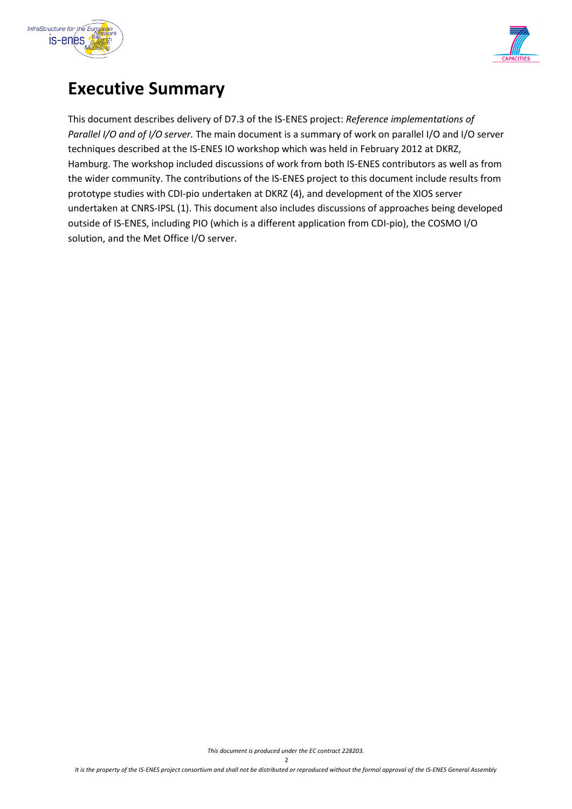



# **Executive Summary**

This document describes delivery of D7.3 of the IS-ENES project: *Reference implementations of Parallel I/O and of I/O server.* The main document is a summary of work on parallel I/O and I/O server techniques described at the IS-ENES IO workshop which was held in February 2012 at DKRZ, Hamburg. The workshop included discussions of work from both IS-ENES contributors as well as from the wider community. The contributions of the IS-ENES project to this document include results from prototype studies with CDI-pio undertaken at DKRZ (4), and development of the XIOS server undertaken at CNRS-IPSL (1). This document also includes discussions of approaches being developed outside of IS-ENES, including PIO (which is a different application from CDI-pio), the COSMO I/O solution, and the Met Office I/O server.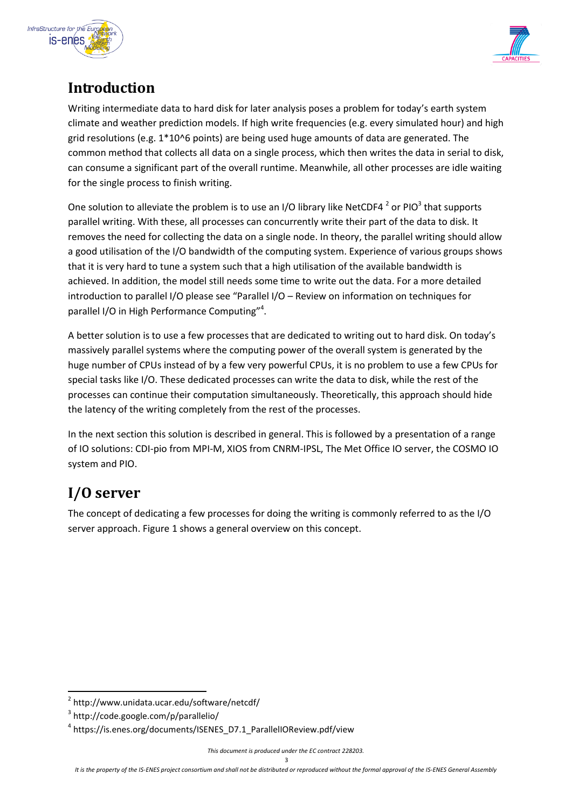



## **Introduction**

Writing intermediate data to hard disk for later analysis poses a problem for today's earth system climate and weather prediction models. If high write frequencies (e.g. every simulated hour) and high grid resolutions (e.g.  $1*10^6$  points) are being used huge amounts of data are generated. The common method that collects all data on a single process, which then writes the data in serial to disk, can consume a significant part of the overall runtime. Meanwhile, all other processes are idle waiting for the single process to finish writing.

One solution to alleviate the problem is to use an I/O library like NetCDF4  $^2$  or PIO<sup>3</sup> that supports parallel writing. With these, all processes can concurrently write their part of the data to disk. It removes the need for collecting the data on a single node. In theory, the parallel writing should allow a good utilisation of the I/O bandwidth of the computing system. Experience of various groups shows that it is very hard to tune a system such that a high utilisation of the available bandwidth is achieved. In addition, the model still needs some time to write out the data. For a more detailed introduction to parallel I/O please see "Parallel I/O – Review on information on techniques for parallel I/O in High Performance Computing"<sup>4</sup>.

A better solution is to use a few processes that are dedicated to writing out to hard disk. On today's massively parallel systems where the computing power of the overall system is generated by the huge number of CPUs instead of by a few very powerful CPUs, it is no problem to use a few CPUs for special tasks like I/O. These dedicated processes can write the data to disk, while the rest of the processes can continue their computation simultaneously. Theoretically, this approach should hide the latency of the writing completely from the rest of the processes.

In the next section this solution is described in general. This is followed by a presentation of a range of IO solutions: CDI-pio from MPI-M, XIOS from CNRM-IPSL, The Met Office IO server, the COSMO IO system and PIO.

# <span id="page-2-0"></span>**I/O server**

1

The concept of dedicating a few processes for doing the writing is commonly referred to as the I/O server approach. [Figure 1](#page-3-0) shows a general overview on this concept.

<sup>2</sup> http://www.unidata.ucar.edu/software/netcdf/

<sup>3</sup> http://code.google.com/p/parallelio/

<sup>4</sup> https://is.enes.org/documents/ISENES\_D7.1\_ParallelIOReview.pdf/view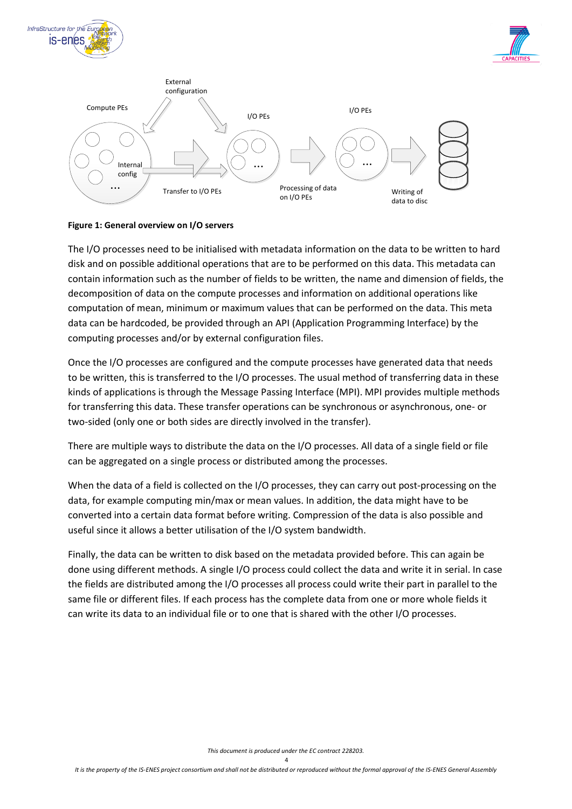





#### <span id="page-3-0"></span>**Figure 1: General overview on I/O servers**

The I/O processes need to be initialised with metadata information on the data to be written to hard disk and on possible additional operations that are to be performed on this data. This metadata can contain information such as the number of fields to be written, the name and dimension of fields, the decomposition of data on the compute processes and information on additional operations like computation of mean, minimum or maximum values that can be performed on the data. This meta data can be hardcoded, be provided through an API (Application Programming Interface) by the computing processes and/or by external configuration files.

Once the I/O processes are configured and the compute processes have generated data that needs to be written, this is transferred to the I/O processes. The usual method of transferring data in these kinds of applications is through the Message Passing Interface (MPI). MPI provides multiple methods for transferring this data. These transfer operations can be synchronous or asynchronous, one- or two-sided (only one or both sides are directly involved in the transfer).

There are multiple ways to distribute the data on the I/O processes. All data of a single field or file can be aggregated on a single process or distributed among the processes.

When the data of a field is collected on the I/O processes, they can carry out post-processing on the data, for example computing min/max or mean values. In addition, the data might have to be converted into a certain data format before writing. Compression of the data is also possible and useful since it allows a better utilisation of the I/O system bandwidth.

Finally, the data can be written to disk based on the metadata provided before. This can again be done using different methods. A single I/O process could collect the data and write it in serial. In case the fields are distributed among the I/O processes all process could write their part in parallel to the same file or different files. If each process has the complete data from one or more whole fields it can write its data to an individual file or to one that is shared with the other I/O processes.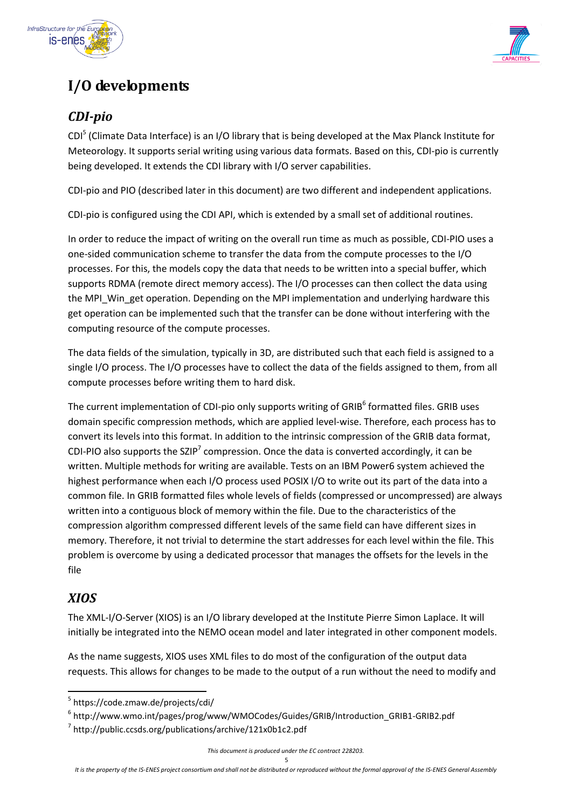



# **I/O developments**

### *CDI-pio*

CDI<sup>5</sup> (Climate Data Interface) is an I/O library that is being developed at the Max Planck Institute for Meteorology. It supports serial writing using various data formats. Based on this, CDI-pio is currently being developed. It extends the CDI library with I/O server capabilities.

CDI-pio and PIO (described later in this document) are two different and independent applications.

CDI-pio is configured using the CDI API, which is extended by a small set of additional routines.

In order to reduce the impact of writing on the overall run time as much as possible, CDI-PIO uses a one-sided communication scheme to transfer the data from the compute processes to the I/O processes. For this, the models copy the data that needs to be written into a special buffer, which supports RDMA (remote direct memory access). The I/O processes can then collect the data using the MPI\_Win\_get operation. Depending on the MPI implementation and underlying hardware this get operation can be implemented such that the transfer can be done without interfering with the computing resource of the compute processes.

The data fields of the simulation, typically in 3D, are distributed such that each field is assigned to a single I/O process. The I/O processes have to collect the data of the fields assigned to them, from all compute processes before writing them to hard disk.

The current implementation of CDI-pio only supports writing of GRIB<sup>6</sup> formatted files. GRIB uses domain specific compression methods, which are applied level-wise. Therefore, each process has to convert its levels into this format. In addition to the intrinsic compression of the GRIB data format, CDI-PIO also supports the SZIP<sup>7</sup> compression. Once the data is converted accordingly, it can be written. Multiple methods for writing are available. Tests on an IBM Power6 system achieved the highest performance when each I/O process used POSIX I/O to write out its part of the data into a common file. In GRIB formatted files whole levels of fields (compressed or uncompressed) are always written into a contiguous block of memory within the file. Due to the characteristics of the compression algorithm compressed different levels of the same field can have different sizes in memory. Therefore, it not trivial to determine the start addresses for each level within the file. This problem is overcome by using a dedicated processor that manages the offsets for the levels in the file

#### *XIOS*

1

The XML-I/O-Server (XIOS) is an I/O library developed at the Institute Pierre Simon Laplace. It will initially be integrated into the NEMO ocean model and later integrated in other component models.

As the name suggests, XIOS uses XML files to do most of the configuration of the output data requests. This allows for changes to be made to the output of a run without the need to modify and

<sup>5</sup> https://code.zmaw.de/projects/cdi/

<sup>6</sup> http://www.wmo.int/pages/prog/www/WMOCodes/Guides/GRIB/Introduction\_GRIB1-GRIB2.pdf

<sup>&</sup>lt;sup>7</sup> http://public.ccsds.org/publications/archive/121x0b1c2.pdf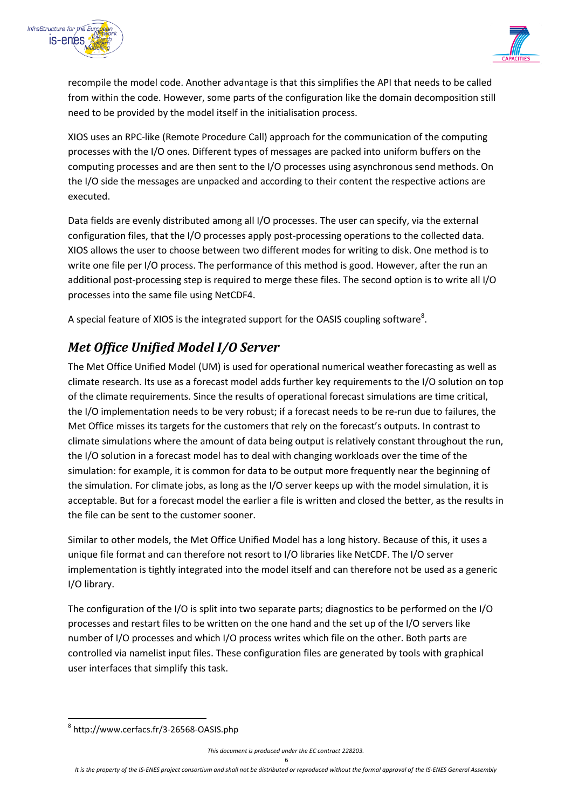



recompile the model code. Another advantage is that this simplifies the API that needs to be called from within the code. However, some parts of the configuration like the domain decomposition still need to be provided by the model itself in the initialisation process.

XIOS uses an RPC-like (Remote Procedure Call) approach for the communication of the computing processes with the I/O ones. Different types of messages are packed into uniform buffers on the computing processes and are then sent to the I/O processes using asynchronous send methods. On the I/O side the messages are unpacked and according to their content the respective actions are executed.

Data fields are evenly distributed among all I/O processes. The user can specify, via the external configuration files, that the I/O processes apply post-processing operations to the collected data. XIOS allows the user to choose between two different modes for writing to disk. One method is to write one file per I/O process. The performance of this method is good. However, after the run an additional post-processing step is required to merge these files. The second option is to write all I/O processes into the same file using NetCDF4.

A special feature of XIOS is the integrated support for the OASIS coupling software<sup>8</sup>.

### *Met Office Unified Model I/O Server*

The Met Office Unified Model (UM) is used for operational numerical weather forecasting as well as climate research. Its use as a forecast model adds further key requirements to the I/O solution on top of the climate requirements. Since the results of operational forecast simulations are time critical, the I/O implementation needs to be very robust; if a forecast needs to be re-run due to failures, the Met Office misses its targets for the customers that rely on the forecast's outputs. In contrast to climate simulations where the amount of data being output is relatively constant throughout the run, the I/O solution in a forecast model has to deal with changing workloads over the time of the simulation: for example, it is common for data to be output more frequently near the beginning of the simulation. For climate jobs, as long as the I/O server keeps up with the model simulation, it is acceptable. But for a forecast model the earlier a file is written and closed the better, as the results in the file can be sent to the customer sooner.

Similar to other models, the Met Office Unified Model has a long history. Because of this, it uses a unique file format and can therefore not resort to I/O libraries like NetCDF. The I/O server implementation is tightly integrated into the model itself and can therefore not be used as a generic I/O library.

The configuration of the I/O is split into two separate parts; diagnostics to be performed on the I/O processes and restart files to be written on the one hand and the set up of the I/O servers like number of I/O processes and which I/O process writes which file on the other. Both parts are controlled via namelist input files. These configuration files are generated by tools with graphical user interfaces that simplify this task.

1

<sup>8</sup> http://www.cerfacs.fr/3-26568-OASIS.php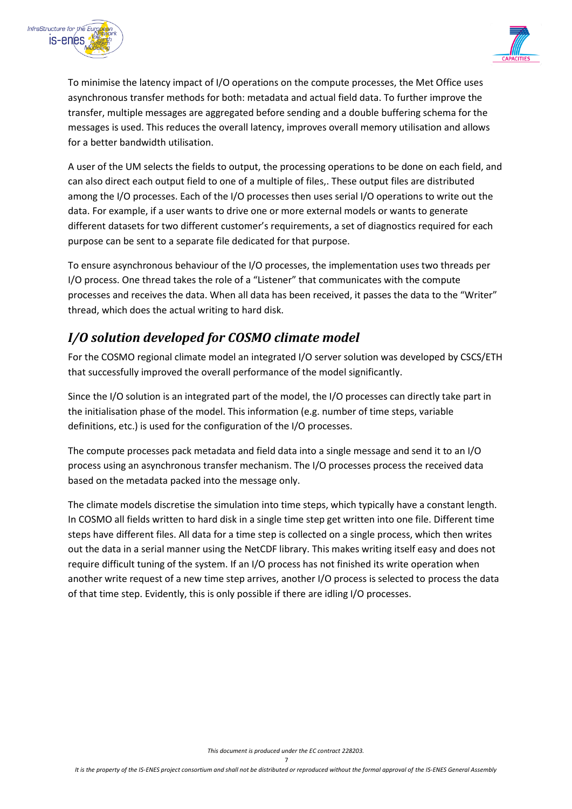



To minimise the latency impact of I/O operations on the compute processes, the Met Office uses asynchronous transfer methods for both: metadata and actual field data. To further improve the transfer, multiple messages are aggregated before sending and a double buffering schema for the messages is used. This reduces the overall latency, improves overall memory utilisation and allows for a better bandwidth utilisation.

A user of the UM selects the fields to output, the processing operations to be done on each field, and can also direct each output field to one of a multiple of files,. These output files are distributed among the I/O processes. Each of the I/O processes then uses serial I/O operations to write out the data. For example, if a user wants to drive one or more external models or wants to generate different datasets for two different customer's requirements, a set of diagnostics required for each purpose can be sent to a separate file dedicated for that purpose.

To ensure asynchronous behaviour of the I/O processes, the implementation uses two threads per I/O process. One thread takes the role of a "Listener" that communicates with the compute processes and receives the data. When all data has been received, it passes the data to the "Writer" thread, which does the actual writing to hard disk.

#### *I/O solution developed for COSMO climate model*

For the COSMO regional climate model an integrated I/O server solution was developed by CSCS/ETH that successfully improved the overall performance of the model significantly.

Since the I/O solution is an integrated part of the model, the I/O processes can directly take part in the initialisation phase of the model. This information (e.g. number of time steps, variable definitions, etc.) is used for the configuration of the I/O processes.

The compute processes pack metadata and field data into a single message and send it to an I/O process using an asynchronous transfer mechanism. The I/O processes process the received data based on the metadata packed into the message only.

The climate models discretise the simulation into time steps, which typically have a constant length. In COSMO all fields written to hard disk in a single time step get written into one file. Different time steps have different files. All data for a time step is collected on a single process, which then writes out the data in a serial manner using the NetCDF library. This makes writing itself easy and does not require difficult tuning of the system. If an I/O process has not finished its write operation when another write request of a new time step arrives, another I/O process is selected to process the data of that time step. Evidently, this is only possible if there are idling I/O processes.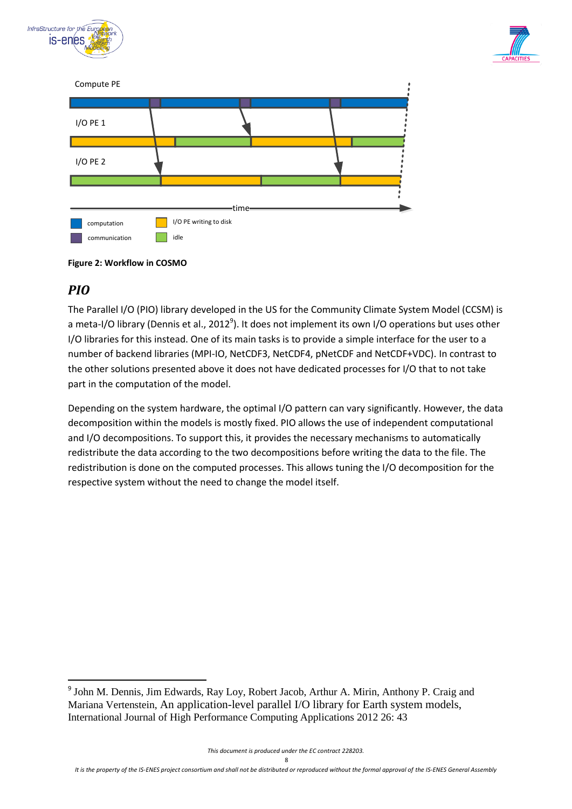







### *PIO*

**.** 

The Parallel I/O (PIO) library developed in the US for the Community Climate System Model (CCSM) is a meta-I/O library (Dennis et al., 2012<sup>9</sup>). It does not implement its own I/O operations but uses other I/O libraries for this instead. One of its main tasks is to provide a simple interface for the user to a number of backend libraries (MPI-IO, NetCDF3, NetCDF4, pNetCDF and NetCDF+VDC). In contrast to the other solutions presented above it does not have dedicated processes for I/O that to not take part in the computation of the model.

Depending on the system hardware, the optimal I/O pattern can vary significantly. However, the data decomposition within the models is mostly fixed. PIO allows the use of independent computational and I/O decompositions. To support this, it provides the necessary mechanisms to automatically redistribute the data according to the two decompositions before writing the data to the file. The redistribution is done on the computed processes. This allows tuning the I/O decomposition for the respective system without the need to change the model itself.

<sup>&</sup>lt;sup>9</sup> John M. Dennis, Jim Edwards, Ray Loy, Robert Jacob, Arthur A. Mirin, Anthony P. Craig and Mariana Vertenstein, An application-level parallel I/O library for Earth system models, International Journal of High Performance Computing Applications 2012 26: 43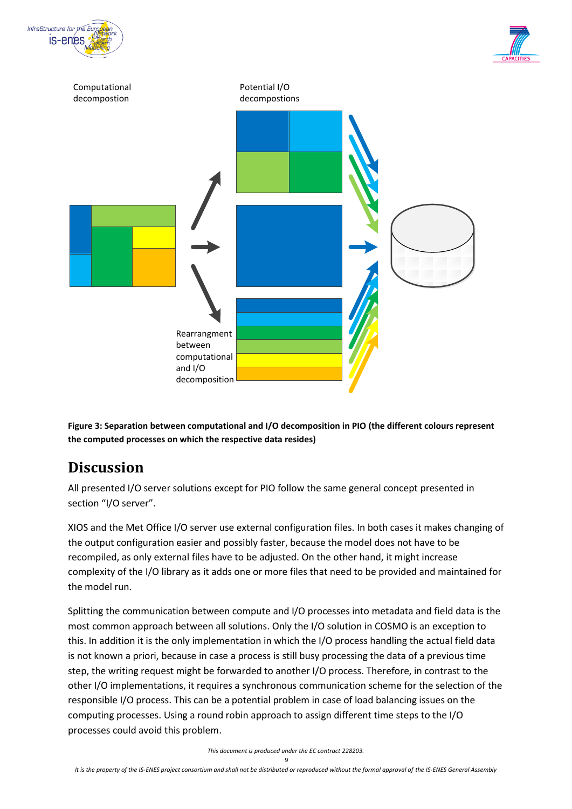





**Figure 3: Separation between computational and I/O decomposition in PIO (the different colours represent the computed processes on which the respective data resides)**

## **Discussion**

All presented I/O server solutions except for PIO follow the same general concept presented in section "[I/O server](#page-2-0)".

XIOS and the Met Office I/O server use external configuration files. In both cases it makes changing of the output configuration easier and possibly faster, because the model does not have to be recompiled, as only external files have to be adjusted. On the other hand, it might increase complexity of the I/O library as it adds one or more files that need to be provided and maintained for the model run.

Splitting the communication between compute and I/O processes into metadata and field data is the most common approach between all solutions. Only the I/O solution in COSMO is an exception to this. In addition it is the only implementation in which the I/O process handling the actual field data is not known a priori, because in case a process is still busy processing the data of a previous time step, the writing request might be forwarded to another I/O process. Therefore, in contrast to the other I/O implementations, it requires a synchronous communication scheme for the selection of the responsible I/O process. This can be a potential problem in case of load balancing issues on the computing processes. Using a round robin approach to assign different time steps to the I/O processes could avoid this problem.

*This document is produced under the EC contract 228203.*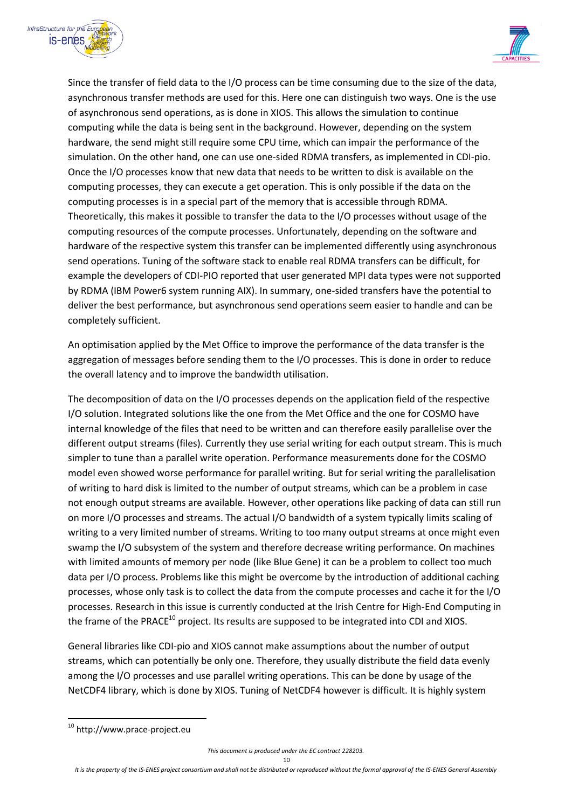



Since the transfer of field data to the I/O process can be time consuming due to the size of the data, asynchronous transfer methods are used for this. Here one can distinguish two ways. One is the use of asynchronous send operations, as is done in XIOS. This allows the simulation to continue computing while the data is being sent in the background. However, depending on the system hardware, the send might still require some CPU time, which can impair the performance of the simulation. On the other hand, one can use one-sided RDMA transfers, as implemented in CDI-pio. Once the I/O processes know that new data that needs to be written to disk is available on the computing processes, they can execute a get operation. This is only possible if the data on the computing processes is in a special part of the memory that is accessible through RDMA. Theoretically, this makes it possible to transfer the data to the I/O processes without usage of the computing resources of the compute processes. Unfortunately, depending on the software and hardware of the respective system this transfer can be implemented differently using asynchronous send operations. Tuning of the software stack to enable real RDMA transfers can be difficult, for example the developers of CDI-PIO reported that user generated MPI data types were not supported by RDMA (IBM Power6 system running AIX). In summary, one-sided transfers have the potential to deliver the best performance, but asynchronous send operations seem easier to handle and can be completely sufficient.

An optimisation applied by the Met Office to improve the performance of the data transfer is the aggregation of messages before sending them to the I/O processes. This is done in order to reduce the overall latency and to improve the bandwidth utilisation.

The decomposition of data on the I/O processes depends on the application field of the respective I/O solution. Integrated solutions like the one from the Met Office and the one for COSMO have internal knowledge of the files that need to be written and can therefore easily parallelise over the different output streams (files). Currently they use serial writing for each output stream. This is much simpler to tune than a parallel write operation. Performance measurements done for the COSMO model even showed worse performance for parallel writing. But for serial writing the parallelisation of writing to hard disk is limited to the number of output streams, which can be a problem in case not enough output streams are available. However, other operations like packing of data can still run on more I/O processes and streams. The actual I/O bandwidth of a system typically limits scaling of writing to a very limited number of streams. Writing to too many output streams at once might even swamp the I/O subsystem of the system and therefore decrease writing performance. On machines with limited amounts of memory per node (like Blue Gene) it can be a problem to collect too much data per I/O process. Problems like this might be overcome by the introduction of additional caching processes, whose only task is to collect the data from the compute processes and cache it for the I/O processes. Research in this issue is currently conducted at the Irish Centre for High-End Computing in the frame of the PRACE<sup>10</sup> project. Its results are supposed to be integrated into CDI and XIOS.

General libraries like CDI-pio and XIOS cannot make assumptions about the number of output streams, which can potentially be only one. Therefore, they usually distribute the field data evenly among the I/O processes and use parallel writing operations. This can be done by usage of the NetCDF4 library, which is done by XIOS. Tuning of NetCDF4 however is difficult. It is highly system

1

<sup>&</sup>lt;sup>10</sup> http://www.prace-project.eu